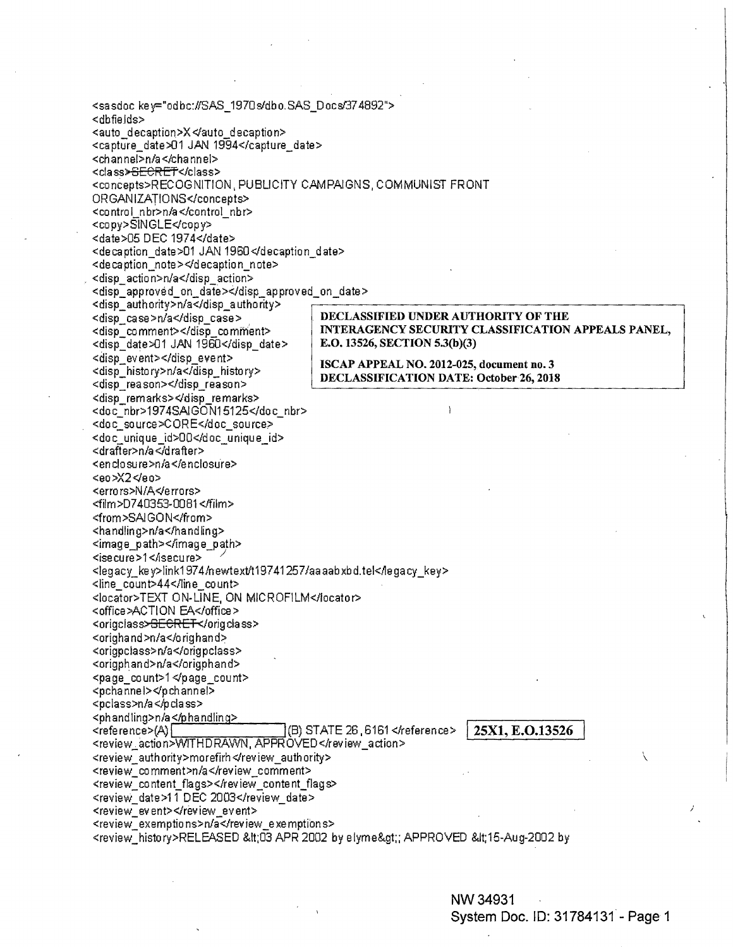<sasdoc key="odbc://SAS\_1970s/dbo.SAS\_Docs/374892"> <dbfields> <auto decaption>X </auto decaption> <capture\_date>01 JAN 1994</capture\_date> <channel>n/a</channel> <class><del>SECRET</del></class> <concepts>RECOGNITION, PUBLICITY CAMPAIGNS, COMMUNIST FRONT ORGANIZATIONS</concepts> <control\_nbr>n/a</control\_nbr> <copy>SINGLE</copy> <date>05 DEC 1974</date> <decaption\_date>01 JAN 1960</decaption\_date> <decaption note></decaption note> <disp action>n/a</disp action> <disp\_approved\_on\_date></disp\_approved\_on\_date> <disp\_authority>n/a</disp\_authority> DECLASSIFIED UNDER AUTHORITY OF THE <disp case>n/a</disp case> INTERAGENCY SECURITY CLASSIFICATION APPEALS PANEL, <disp comment></disp comment> E.O. 13526, SECTION 5.3(b)(3) <disp date>01 JAN 1960</disp date> <disp\_event></disp\_event> ISCAP APPEAL NO. 2012-025, document no. 3 <disp history>n/a</disp history> DECLASSIFICATION DATE: October 26, 2018 <disp\_reason></disp\_reason> <disp\_remarks></disp\_remarks> <doc\_nbr>1974SAIGON15125</doc\_nbr> <doc\_source>CORE</doc\_source> <doc\_unique\_id>00</doc\_unique\_id> <drafter>n/a</drafter> <enclosure>n/a</enclosure> <eo>X2</eo> <errors>N/A</errors> <film>D740353-0081</film> <from>SAIGON</from> <handling>n/a</handling> <image\_path></image\_path> <isecure>1</isecure> <legacy key>link1974/newtext/t19741257/aaaabxbd.tel</legacy key> <line count>44</line count> <locator>TEXT ON-LINE, ON MICROFILM</locator> <office>ACTION EA</office> <origclass><del>GECRET<</del>/origclass> <orighand>n/a</orighand> <origpclass>n/a</origpclass> <origphand>n/a</origphand> <page count>1</page\_count> <pchannel></pchannel> <pclass>n/a</pclass> <phandling>n/a</phandling> (B) STATE 26, 6161 </reference> <reference>(A)[ 25X1, E.O.13526 <review\_action>WITHDRAWN, APPROVED</review\_action> <review authority>morefirh</review authority> <review\_comment>n/a</review\_comment> <review\_content\_flags></review\_content\_flags> <review date>11 DEC 2003</review date> <review event></review event> <review\_exemptions>n/a</review\_exemptions> <review\_history>RELEASED &It;03 APR 2002 by elyme&gt;; APPROVED &It;15-Aug-2002 by

> NW 34931 System Doc. ID: 31784131 - Page 1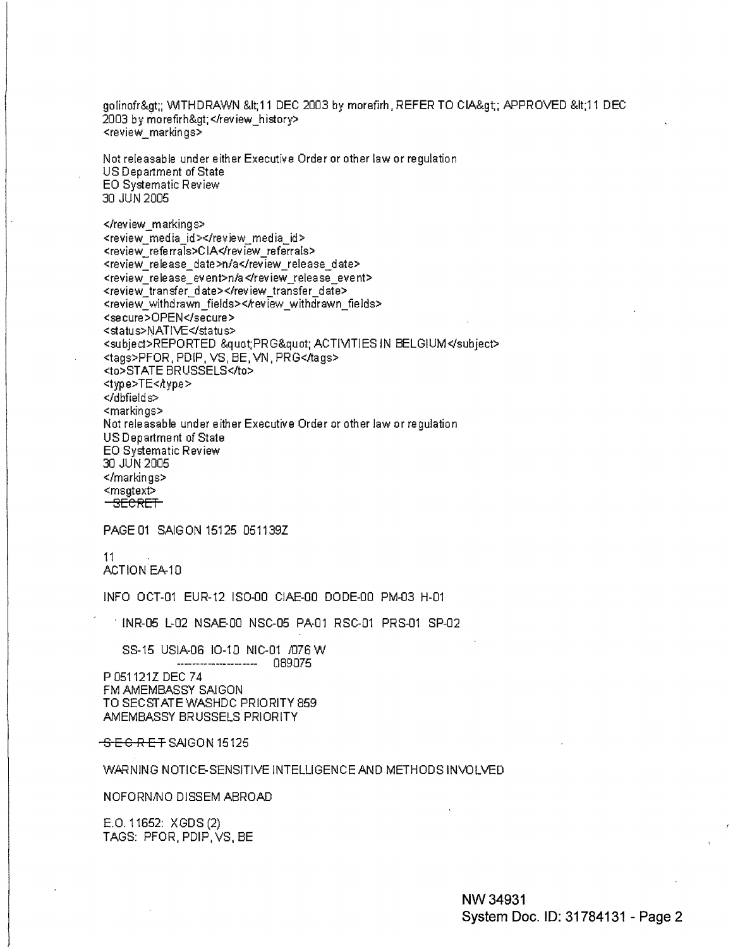golinofr>; WITHDRAWN <11 DEC 2003 by morefirh, REFER TO CIA&gt;; APPROVED &lt;11 DEC 2003 by morefirh></review\_history> <review markings>

Not releasable under either Executive Order or other law or regulation US Department of State EO Systematic Review 30 JUN 2005

</review\_markings> <review media id></review media id> <review\_referrals>CIA</review\_referrals> <review release date>n/a</review release date> <review release event>n/a</review release event> <review transfer date></review\_transfer\_date> <review\_withdrawn\_fields></review\_withdrawn\_fields> <secure>OPEN</secure> <status>NATIVE</status> <subject>REPORTED &quot;PRG&quot; ACTIMTIES IN BELGIUM</subject> <tags>PFOR, PDIP, VS, BE, VN, PRG</tags> <to>STATE BRUSSELS</to> <type>TE<Aype> </dbfields> <markings> Not releasable under either Executive Order or other law or regulation US Department of State EO Systematic Review 30 JUN 2005 </markings> <msgtext> <del>-SECRET-</del>

PAGE 01 SAIGON 15125 051139Z

-11

ACTION EA-10

INFO OCT-01 EUR-12 ISO-00 CIAE-00 DODE-00 PM-03 H-01

1 INR-05 L-02 NSAE-00 NSC-05 PA-01 RSC-01 PRS-01 SP-02

SS-15 USIA-06 10-10 NIC-01 /076 W ------------------ 089075

P 051121Z DEC 74 FM AMEMBASSY SAIGON TO SECSTATE WASHDC PRIORITY 859 AMEMBASSY BRUSSELS PRIORITY

SECRET SAIGON 15125

## WARNING NOTICE-SENSITIVE INTELLIGENCE AND METHODS INVOLVED

NOFORN/NO DISSEM ABROAD

E.O. 11652: XGDS (2) TAGS: PFOR, PDIP, VS, BE